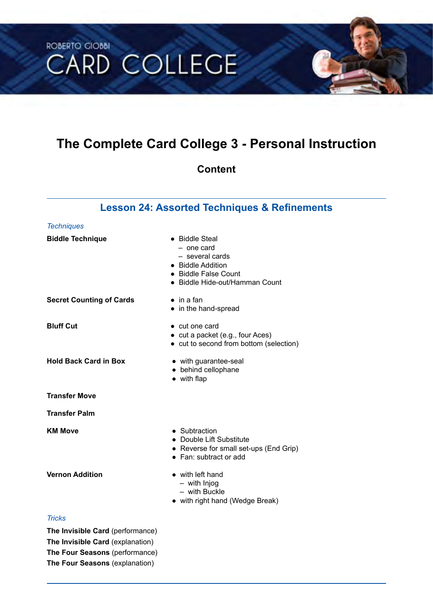# **ROBERTO GIOBBI CARD COLLEGE**

## **The Complete Card College 3 - Personal Instruction**

## **Content**

## **Lesson 24: Assorted Techniques & Refinements**

| <b>Techniques</b>                |                                                                                                                                |
|----------------------------------|--------------------------------------------------------------------------------------------------------------------------------|
| <b>Biddle Technique</b>          | • Biddle Steal<br>- one card<br>- several cards<br>• Biddle Addition<br>• Biddle False Count<br>• Biddle Hide-out/Hamman Count |
| <b>Secret Counting of Cards</b>  | $\bullet$ in a fan<br>• in the hand-spread                                                                                     |
| <b>Bluff Cut</b>                 | $\bullet$ cut one card<br>• cut a packet (e.g., four Aces)<br>• cut to second from bottom (selection)                          |
| <b>Hold Back Card in Box</b>     | • with guarantee-seal<br>• behind cellophane<br>$\bullet$ with flap                                                            |
| <b>Transfer Move</b>             |                                                                                                                                |
| <b>Transfer Palm</b>             |                                                                                                                                |
| <b>KM Move</b>                   | • Subtraction<br>• Double Lift Substitute<br>• Reverse for small set-ups (End Grip)<br>• Fan: subtract or add                  |
| <b>Vernon Addition</b>           | • with left hand<br>- with Injog<br>- with Buckle<br>• with right hand (Wedge Break)                                           |
| <b>Tricks</b>                    |                                                                                                                                |
| The Invisible Card (performance) |                                                                                                                                |

**The Invisible Card** (explanation) **The Four Seasons** (performance) **The Four Seasons** (explanation)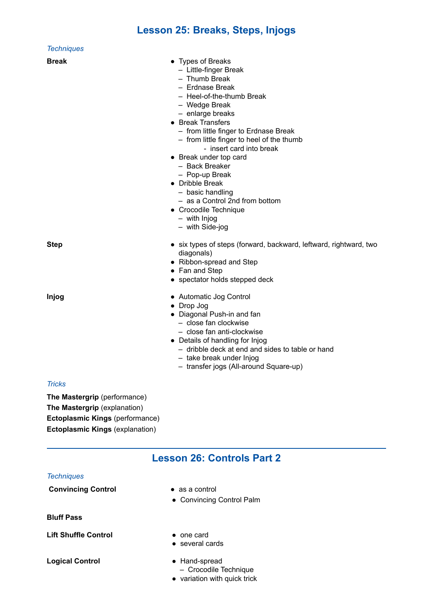## **Lesson 25: Breaks, Steps, Injogs**

| <b>Techniques</b>                                                                                                                         |                                                                                                                                                                                                                                                                                                                                                                                                                                                                                              |
|-------------------------------------------------------------------------------------------------------------------------------------------|----------------------------------------------------------------------------------------------------------------------------------------------------------------------------------------------------------------------------------------------------------------------------------------------------------------------------------------------------------------------------------------------------------------------------------------------------------------------------------------------|
| <b>Break</b>                                                                                                                              | • Types of Breaks<br>- Little-finger Break<br>- Thumb Break<br>- Erdnase Break<br>- Heel-of-the-thumb Break<br>- Wedge Break<br>- enlarge breaks<br>• Break Transfers<br>- from little finger to Erdnase Break<br>- from little finger to heel of the thumb<br>- insert card into break<br>• Break under top card<br>- Back Breaker<br>- Pop-up Break<br>• Dribble Break<br>- basic handling<br>- as a Control 2nd from bottom<br>• Crocodile Technique<br>$-$ with Injog<br>- with Side-jog |
| <b>Step</b>                                                                                                                               | • six types of steps (forward, backward, leftward, rightward, two<br>diagonals)<br>• Ribbon-spread and Step<br>• Fan and Step<br>• spectator holds stepped deck                                                                                                                                                                                                                                                                                                                              |
| <b>Injog</b>                                                                                                                              | • Automatic Jog Control<br>• Drop Jog<br>• Diagonal Push-in and fan<br>- close fan clockwise<br>- close fan anti-clockwise<br>• Details of handling for Injog<br>- dribble deck at end and sides to table or hand<br>- take break under Injog<br>- transfer jogs (All-around Square-up)                                                                                                                                                                                                      |
| <b>Tricks</b>                                                                                                                             |                                                                                                                                                                                                                                                                                                                                                                                                                                                                                              |
| The Mastergrip (performance)<br>The Mastergrip (explanation)<br>Ectoplasmic Kings (performance)<br><b>Ectoplasmic Kings (explanation)</b> |                                                                                                                                                                                                                                                                                                                                                                                                                                                                                              |
|                                                                                                                                           | <b>Lesson 26: Controls Part 2</b>                                                                                                                                                                                                                                                                                                                                                                                                                                                            |
| <b>Techniques</b>                                                                                                                         |                                                                                                                                                                                                                                                                                                                                                                                                                                                                                              |
| <b>Convincing Control</b>                                                                                                                 | $\bullet$ as a control<br>• Convincing Control Palm                                                                                                                                                                                                                                                                                                                                                                                                                                          |
| <b>Bluff Pass</b>                                                                                                                         |                                                                                                                                                                                                                                                                                                                                                                                                                                                                                              |
| <b>Lift Shuffle Control</b>                                                                                                               | $\bullet$ one card<br>• several cards                                                                                                                                                                                                                                                                                                                                                                                                                                                        |
| <b>Logical Control</b>                                                                                                                    | • Hand-spread<br>- Crocodile Technique<br>• variation with quick trick                                                                                                                                                                                                                                                                                                                                                                                                                       |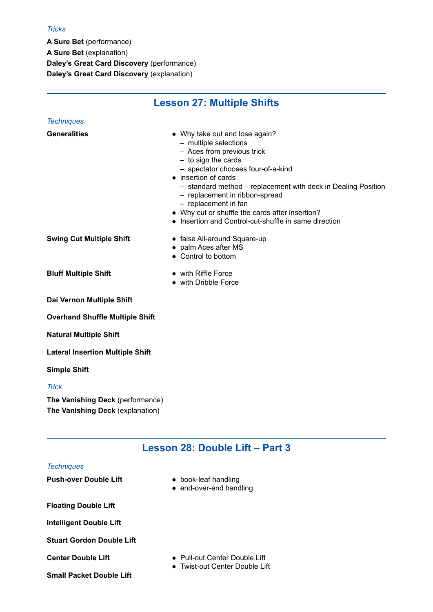## *Tricks*

*Techniques* 

**A Sure Bet** (performance) **A Sure Bet** (explanation) **Daley's Great Card Discovery** (performance) **Daley's Great Card Discovery** (explanation)

# **Lesson 27: Multiple Shifts**

| <b>Generalities</b>                     | • Why take out and lose again?<br>- multiple selections<br>- Aces from previous trick<br>$-$ to sign the cards<br>- spectator chooses four-of-a-kind<br>• insertion of cards<br>- standard method - replacement with deck in Dealing Position<br>- replacement in ribbon-spread<br>$-$ replacement in fan<br>• Why cut or shuffle the cards after insertion?<br>• Insertion and Control-cut-shuffle in same direction |
|-----------------------------------------|-----------------------------------------------------------------------------------------------------------------------------------------------------------------------------------------------------------------------------------------------------------------------------------------------------------------------------------------------------------------------------------------------------------------------|
| <b>Swing Cut Multiple Shift</b>         | • false All-around Square-up<br>• palm Aces after MS<br>• Control to bottom                                                                                                                                                                                                                                                                                                                                           |
| <b>Bluff Multiple Shift</b>             | • with Riffle Force<br>• with Dribble Force                                                                                                                                                                                                                                                                                                                                                                           |
| Dai Vernon Multiple Shift               |                                                                                                                                                                                                                                                                                                                                                                                                                       |
| <b>Overhand Shuffle Multiple Shift</b>  |                                                                                                                                                                                                                                                                                                                                                                                                                       |
| <b>Natural Multiple Shift</b>           |                                                                                                                                                                                                                                                                                                                                                                                                                       |
| <b>Lateral Insertion Multiple Shift</b> |                                                                                                                                                                                                                                                                                                                                                                                                                       |
| <b>Simple Shift</b>                     |                                                                                                                                                                                                                                                                                                                                                                                                                       |
| <b>Trick</b>                            |                                                                                                                                                                                                                                                                                                                                                                                                                       |

**The Vanishing Deck** (performance) **The Vanishing Deck** (explanation)

## **Lesson 28: Double Lift – Part 3**

## *Techniques*

**Push-over Double Lift ●** book-leaf handling

- 
- end-over-end handling

**Floating Double Lift**

**Intelligent Double Lift**

**Stuart Gordon Double Lift**

**Small Packet Double Lift**

- **Center Double Lift Pull-out Center Double Lift** 
	- Twist-out Center Double Lift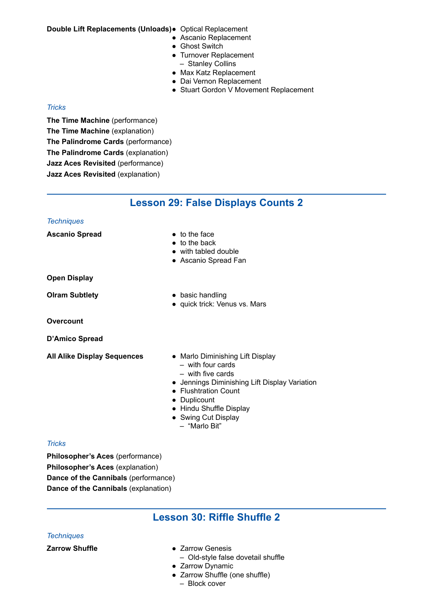## **Double Lift Replacements (Unloads)●** Optical Replacement

- Ascanio Replacement
- Ghost Switch
- Turnover Replacement – Stanley Collins
- Max Katz Replacement
- Dai Vernon Replacement
- Stuart Gordon V Movement Replacement

## *Tricks*

**The Time Machine** (performance) **The Time Machine** (explanation) **The Palindrome Cards** (performance) **The Palindrome Cards** (explanation) **Jazz Aces Revisited** (performance) **Jazz Aces Revisited** (explanation)

## **Lesson 29: False Displays Counts 2**

#### *Techniques*

**Ascanio Spread** <br> **•** to the face

- 
- to the back
- with tabled double
- Ascanio Spread Fan

**Open Display**

- **Olram Subtlety •** basic handling
	- quick trick: Venus vs. Mars

**Overcount** 

**D'Amico Spread**

- **All Alike Display Sequences** Marlo Diminishing Lift Display – with four cards
	- with five cards
	- Jennings Diminishing Lift Display Variation
	- Flushtration Count
	- Duplicount
	- Hindu Shuffle Display
	- Swing Cut Display
	- "Marlo Bit"

## *Tricks*

**Philosopher's Aces** (performance) **Philosopher's Aces** (explanation) **Dance of the Cannibals** (performance) **Dance of the Cannibals** (explanation)

## **Lesson 30: Riffle Shuffle 2**

## *Techniques*

- **Zarrow Shuffle** *e**Zarrow Genesis* 
	- Old-style false dovetail shuffle
	- Zarrow Dynamic
	- Zarrow Shuffle (one shuffle)
		- Block cover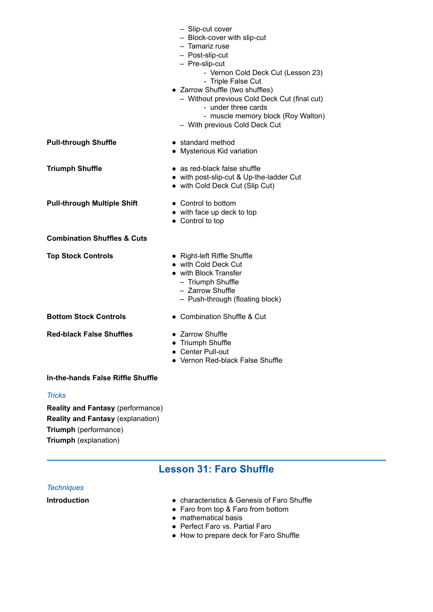|                                        | - Slip-cut cover<br>- Block-cover with slip-cut<br>- Tamariz ruse<br>- Post-slip-cut<br>- Pre-slip-cut<br>- Vernon Cold Deck Cut (Lesson 23)<br>- Triple False Cut<br>• Zarrow Shuffle (two shuffles)<br>- Without previous Cold Deck Cut (final cut)<br>- under three cards<br>- muscle memory block (Roy Walton)<br>- With previous Cold Deck Cut |
|----------------------------------------|-----------------------------------------------------------------------------------------------------------------------------------------------------------------------------------------------------------------------------------------------------------------------------------------------------------------------------------------------------|
| <b>Pull-through Shuffle</b>            | • standard method<br>• Mysterious Kid variation                                                                                                                                                                                                                                                                                                     |
| <b>Triumph Shuffle</b>                 | • as red-black false shuffle<br>• with post-slip-cut & Up-the-ladder Cut<br>• with Cold Deck Cut (Slip Cut)                                                                                                                                                                                                                                         |
| <b>Pull-through Multiple Shift</b>     | • Control to bottom<br>• with face up deck to top<br>• Control to top                                                                                                                                                                                                                                                                               |
| <b>Combination Shuffles &amp; Cuts</b> |                                                                                                                                                                                                                                                                                                                                                     |
| <b>Top Stock Controls</b>              | • Right-left Riffle Shuffle<br>• with Cold Deck Cut<br>• with Block Transfer<br>- Triumph Shuffle<br>- Zarrow Shuffle<br>- Push-through (floating block)                                                                                                                                                                                            |
| <b>Bottom Stock Controls</b>           | • Combination Shuffle & Cut                                                                                                                                                                                                                                                                                                                         |
| <b>Red-black False Shuffles</b>        | • Zarrow Shuffle<br>• Triumph Shuffle<br>• Center Pull-out<br>• Vernon Red-black False Shuffle                                                                                                                                                                                                                                                      |

## **In-the-hands False Riffle Shuffle**

*Tricks* 

**Reality and Fantasy** (performance) **Reality and Fantasy** (explanation) **Triumph** (performance) **Triumph** (explanation)

## **Lesson 31: Faro Shuffle**

## *Techniques*

- **Introduction characteristics & Genesis of Faro Shuffle** 
	- Faro from top & Faro from bottom
	- mathematical basis
	- Perfect Faro vs. Partial Faro
	- How to prepare deck for Faro Shuffle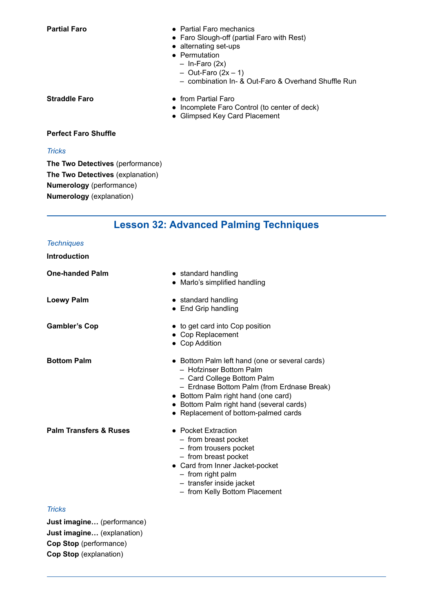- **Partial Faro** *e* Partial Faro mechanics
	- Faro Slough-off (partial Faro with Rest)
	- alternating set-ups
	- Permutation
	- In-Faro (2x)
		- $-$  Out-Faro (2x  $-$  1)
	- combination In- & Out-Faro & Overhand Shuffle Run

- **Straddle Faro • from Partial Faro** 
	- Incomplete Faro Control (to center of deck)
	- Glimpsed Key Card Placement

### **Perfect Faro Shuffle**

## *Tricks*

**The Two Detectives** (performance) **The Two Detectives** (explanation) **Numerology** (performance) **Numerology** (explanation)

## **Lesson 32: Advanced Palming Techniques**

#### *Techniques*

|  | Introduction |  |  |  |  |
|--|--------------|--|--|--|--|
|  |              |  |  |  |  |

| <b>One-handed Palm</b>            | • standard handling<br>• Marlo's simplified handling                                                                                                                                                                                                                             |
|-----------------------------------|----------------------------------------------------------------------------------------------------------------------------------------------------------------------------------------------------------------------------------------------------------------------------------|
| <b>Loewy Palm</b>                 | • standard handling<br>• End Grip handling                                                                                                                                                                                                                                       |
| <b>Gambler's Cop</b>              | • to get card into Cop position<br>• Cop Replacement<br>• Cop Addition                                                                                                                                                                                                           |
| <b>Bottom Palm</b>                | • Bottom Palm left hand (one or several cards)<br>- Hofzinser Bottom Palm<br>- Card College Bottom Palm<br>- Erdnase Bottom Palm (from Erdnase Break)<br>• Bottom Palm right hand (one card)<br>• Bottom Palm right hand (several cards)<br>• Replacement of bottom-palmed cards |
| <b>Palm Transfers &amp; Ruses</b> | • Pocket Extraction<br>- from breast pocket<br>- from trousers pocket<br>- from breast pocket<br>• Card from Inner Jacket-pocket<br>- from right palm<br>- transfer inside jacket<br>- from Kelly Bottom Placement                                                               |
| <b>Tricks</b>                     |                                                                                                                                                                                                                                                                                  |

#### *Tricks*

**Just imagine…** (performance) **Just imagine…** (explanation) **Cop Stop** (performance) **Cop Stop** (explanation)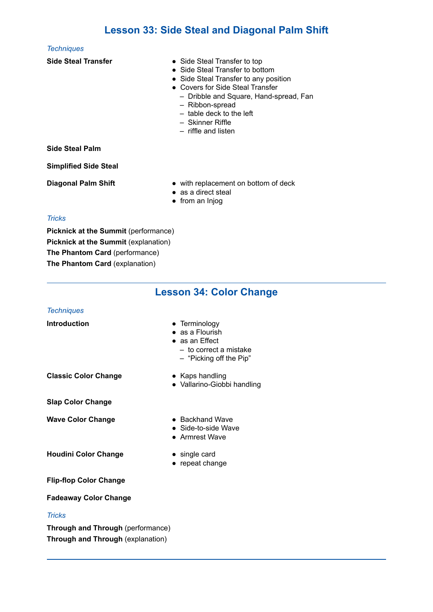## **Lesson 33: Side Steal and Diagonal Palm Shift**

#### *Techniques*

- **Side Steal Transfer •** Side Steal Transfer to top
	- Side Steal Transfer to bottom
	- Side Steal Transfer to any position
	- Covers for Side Steal Transfer
		- Dribble and Square, Hand-spread, Fan
		- Ribbon-spread
		- table deck to the left
		- Skinner Riffle
		- riffle and listen

## **Side Steal Palm**

**Simplified Side Steal**

- **Diagonal Palm Shift • •** with replacement on bottom of deck
	- as a direct steal
	- from an Injog

## *Tricks*

**Picknick at the Summit** (performance) **Picknick at the Summit** (explanation) **The Phantom Card** (performance) **The Phantom Card** (explanation)

|                                   | <b>Lesson 34: Color Change</b>                                                                                  |
|-----------------------------------|-----------------------------------------------------------------------------------------------------------------|
| <b>Techniques</b>                 |                                                                                                                 |
| <b>Introduction</b>               | • Terminology<br>$\bullet$ as a Flourish<br>• as an Effect<br>- to correct a mistake<br>- "Picking off the Pip" |
| <b>Classic Color Change</b>       | • Kaps handling<br>· Vallarino-Giobbi handling                                                                  |
| <b>Slap Color Change</b>          |                                                                                                                 |
| <b>Wave Color Change</b>          | • Backhand Wave<br>• Side-to-side Wave<br>• Armrest Wave                                                        |
| <b>Houdini Color Change</b>       | • single card<br>• repeat change                                                                                |
| <b>Flip-flop Color Change</b>     |                                                                                                                 |
| <b>Fadeaway Color Change</b>      |                                                                                                                 |
| <b>Tricks</b>                     |                                                                                                                 |
| Through and Through (performance) |                                                                                                                 |

**Through and Through** (explanation)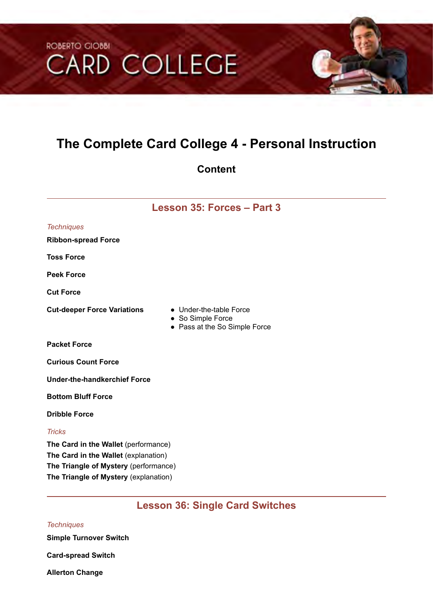# ROBERTO CIOBBI **CARD COLLEGE**

## **The Complete Card College 4 - Personal Instruction**

## **Content**

## **Lesson 35: Forces – Part 3**

| <b>Techniques</b>                                                                                                                                              |                                                                               |
|----------------------------------------------------------------------------------------------------------------------------------------------------------------|-------------------------------------------------------------------------------|
| <b>Ribbon-spread Force</b>                                                                                                                                     |                                                                               |
| <b>Toss Force</b>                                                                                                                                              |                                                                               |
| <b>Peek Force</b>                                                                                                                                              |                                                                               |
| <b>Cut Force</b>                                                                                                                                               |                                                                               |
| <b>Cut-deeper Force Variations</b>                                                                                                                             | • Under-the-table Force<br>• So Simple Force<br>• Pass at the So Simple Force |
| <b>Packet Force</b>                                                                                                                                            |                                                                               |
| <b>Curious Count Force</b>                                                                                                                                     |                                                                               |
| <b>Under-the-handkerchief Force</b>                                                                                                                            |                                                                               |
| <b>Bottom Bluff Force</b>                                                                                                                                      |                                                                               |
| <b>Dribble Force</b>                                                                                                                                           |                                                                               |
| <b>Tricks</b>                                                                                                                                                  |                                                                               |
| The Card in the Wallet (performance)<br>The Card in the Wallet (explanation)<br>The Triangle of Mystery (performance)<br>The Triangle of Mystery (explanation) |                                                                               |

## **Lesson 36: Single Card Switches**

## *Techniques*

**Simple Turnover Switch**

**Card-spread Switch**

**Allerton Change**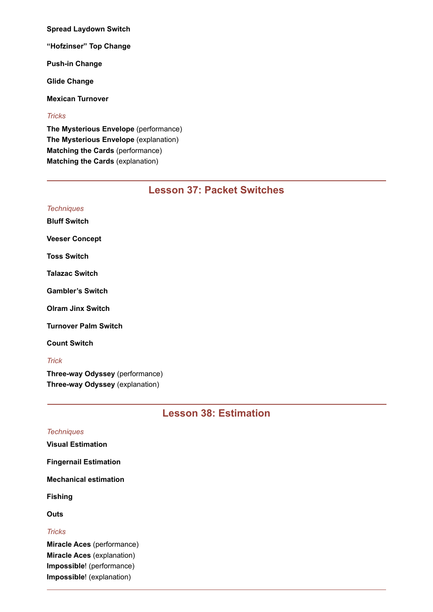**Spread Laydown Switch**

**"Hofzinser" Top Change**

**Push-in Change**

**Glide Change**

**Mexican Turnover**

#### *Tricks*

**The Mysterious Envelope** (performance) **The Mysterious Envelope** (explanation) **Matching the Cards** (performance) **Matching the Cards** (explanation)

## **Lesson 37: Packet Switches**

## **Lesson 38: Estimation**

| <b>Techniques</b>                 |
|-----------------------------------|
| <b>Visual Estimation</b>          |
| <b>Fingernail Estimation</b>      |
| <b>Mechanical estimation</b>      |
| Fishing                           |
| Outs                              |
| <b>Tricks</b>                     |
| Miracle Aces (performance)        |
| <b>Miracle Aces (explanation)</b> |
| Impossible! (performance)         |

**Impossible**! (explanation)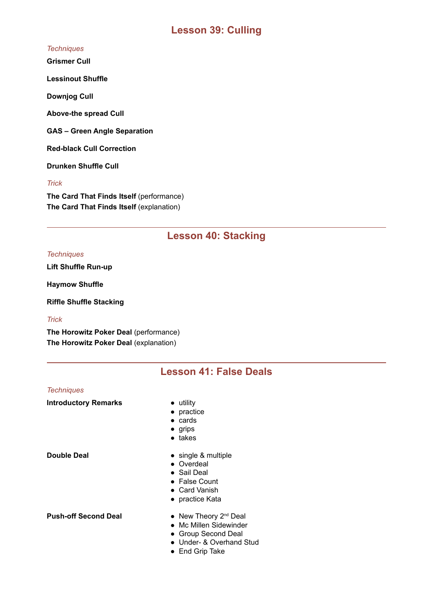## **Lesson 39: Culling**

### *Techniques*

**Grismer Cull**

**Lessinout Shuffle**

**Downjog Cull**

**Above-the spread Cull**

**GAS – Green Angle Separation**

**Red-black Cull Correction**

**Drunken Shuffle Cull**

*Trick*

**The Card That Finds Itself** (performance) **The Card That Finds Itself** (explanation)

## **Lesson 40: Stacking**

#### *Techniques*

**Lift Shuffle Run-up**

**Haymow Shuffle**

**Riffle Shuffle Stacking**

## *Trick*

**The Horowitz Poker Deal** (performance) **The Horowitz Poker Deal** (explanation)

## **Lesson 41: False Deals**

#### *Techniques*

**Introductory Remarks • utility** 

- 
- practice
- cards
- grips
- takes

- **Double Deal •** single & multiple
	- Overdeal
	- Sail Deal
	- False Count
	- Card Vanish
	- practice Kata

- **Push-off Second Deal New Theory 2<sup>nd</sup> Deal** 
	- Mc Millen Sidewinder
	- Group Second Deal
	- Under- & Overhand Stud
	- End Grip Take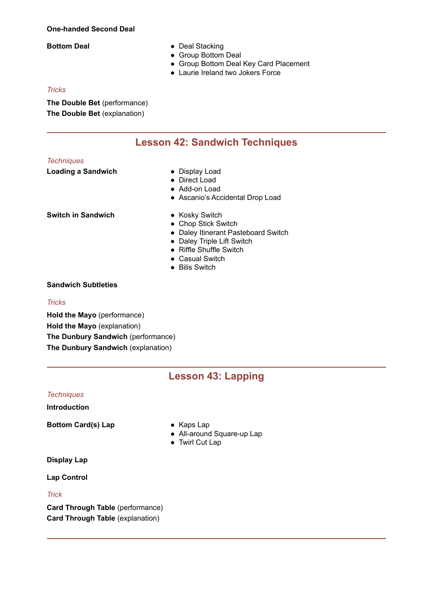#### **One-handed Second Deal**

- **Bottom Deal Deal Stacking** 
	- Group Bottom Deal
	- Group Bottom Deal Key Card Placement
	- Laurie Ireland two Jokers Force

#### *Tricks*

**The Double Bet** (performance) **The Double Bet** (explanation)

## **Lesson 42: Sandwich Techniques**

#### *Techniques*

**Loading a Sandwich <b>•** Display Load

- 
- Direct Load
- Add-on Load
- Ascanio's Accidental Drop Load

**Switch in Sandwich •** Kosky Switch

- 
- Chop Stick Switch
- Daley Itinerant Pasteboard Switch
- Daley Triple Lift Switch
- Riffle Shuffle Switch
- Casual Switch
- Bilis Switch

## **Sandwich Subtleties**

#### *Tricks*

**Hold the Mayo** (performance) **Hold the Mayo** (explanation) **The Dunbury Sandwich** (performance) **The Dunbury Sandwich** (explanation)

## **Lesson 43: Lapping**

## *Techniques*

#### **Introduction**

**Bottom Card(s) Lap •** Kaps Lap

- 
- All-around Square-up Lap
- Twirl Cut Lap

#### **Display Lap**

**Lap Control**

## *Trick*

**Card Through Table** (performance) **Card Through Table** (explanation)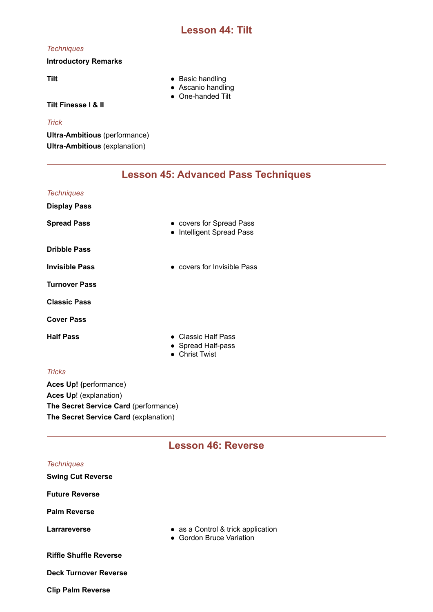## **Lesson 44: Tilt**

#### *Techniques*

## **Introductory Remarks**

- Tilt **a Basic handling** 
	- Ascanio handling
	- One-handed Tilt

## **Tilt Finesse I & II**

## *Trick*

**Ultra-Ambitious** (performance) **Ultra-Ambitious** (explanation)

## **Lesson 45: Advanced Pass Techniques**

| <b>Techniques</b>     |                                                                         |
|-----------------------|-------------------------------------------------------------------------|
| <b>Display Pass</b>   |                                                                         |
| <b>Spread Pass</b>    | • covers for Spread Pass<br><b>Intelligent Spread Pass</b><br>$\bullet$ |
| <b>Dribble Pass</b>   |                                                                         |
| <b>Invisible Pass</b> | • covers for Invisible Pass                                             |
| <b>Turnover Pass</b>  |                                                                         |
| <b>Classic Pass</b>   |                                                                         |
| <b>Cover Pass</b>     |                                                                         |
| <b>Half Pass</b>      | • Classic Half Pass<br>• Spread Half-pass<br>$\bullet$ Christ Twist     |
| <b>Tricks</b>         |                                                                         |

**Aces Up! (**performance) **Aces Up**! (explanation) **The Secret Service Card** (performance) **The Secret Service Card** (explanation)

## **Lesson 46: Reverse** *Techniques*  **Swing Cut Reverse Future Reverse Palm Reverse Larrareverse b e** as a Control & trick application **●** Gordon Bruce Variation **Riffle Shuffle Reverse Deck Turnover Reverse Clip Palm Reverse**